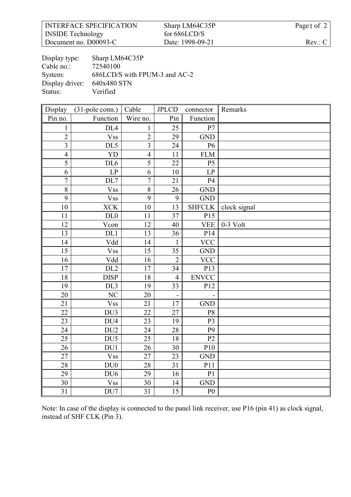| <b>INTERFACE SPECIFICATION</b> | Sharp LM64C35P   | Page 1 of 2 |
|--------------------------------|------------------|-------------|
| <b>INSIDE</b> Technology       | for $686LCD/S$   |             |
| Document no. D00093-C          | Date: 1998-09-21 | Rev: C      |

| Display type:   | Sharp LM64C35P                |
|-----------------|-------------------------------|
| Cable no.:      | 72540100                      |
| System:         | 686LCD/S with FPUM-3 and AC-2 |
| Display driver: | 640x480 STN                   |
| Status:         | Verified                      |

| Display                 | $(31-pole conn.)$      | Cable           | <b>JPLCD</b>   | connector      | Remarks      |
|-------------------------|------------------------|-----------------|----------------|----------------|--------------|
| Pin no.                 | Function               | Wire no.        | Pin            | Function       |              |
| $\mathbf{1}$            | DL <sub>4</sub>        | $\mathbf{1}$    | 25             | P7             |              |
| $\overline{2}$          | <b>Vss</b>             | $\overline{2}$  | 29             | <b>GND</b>     |              |
| $\overline{\mathbf{3}}$ | DL <sub>5</sub>        | $\overline{3}$  | 24             | P6             |              |
| $\overline{4}$          | <b>YD</b>              | $\overline{4}$  | 11             | <b>FLM</b>     |              |
| $\overline{5}$          | DL <sub>6</sub>        | $\overline{5}$  | 22             | P <sub>5</sub> |              |
| 6                       | LP                     | 6               | 10             | LP             |              |
| $\overline{7}$          | DL7                    | $\overline{7}$  | 21             | P4             |              |
| $\overline{8}$          | <b>Vss</b>             | 8               | 26             | <b>GND</b>     |              |
| 9                       | <b>Vss</b>             | 9               | 9              | <b>GND</b>     |              |
| 10                      | <b>XCK</b>             | 10              | 13             | <b>SHFCLK</b>  | clock signal |
| 11                      | DL0                    | 11              | 37             | P15            |              |
| 12                      | $\overline{V}$ con     | 12              | 40             | <b>VEE</b>     | $0-3$ Volt   |
| 13                      | DL1                    | 13              | 36             | P14            |              |
| 14                      | Vdd                    | 14              | $\mathbf{1}$   | <b>VCC</b>     |              |
| 15                      | <b>Vss</b>             | 15              | 35             | <b>GND</b>     |              |
| 16                      | Vdd                    | 16              | $\overline{2}$ | <b>VCC</b>     |              |
| 17                      | DL <sub>2</sub>        | 17              | 34             | P13            |              |
| 18                      | <b>DISP</b>            | 18              | $\overline{4}$ | <b>ENVCC</b>   |              |
| 19                      | DL3                    | 19              | 33             | P12            |              |
| $\overline{20}$         | $\overline{\text{NC}}$ | $\overline{20}$ |                |                |              |
| $\overline{21}$         | <b>Vss</b>             | 21              | 17             | <b>GND</b>     |              |
| $\overline{22}$         | DU3                    | $\overline{22}$ | 27             | P <sub>8</sub> |              |
| 23                      | DU <sub>4</sub>        | 23              | 19             | P <sub>3</sub> |              |
| 24                      | DU <sub>2</sub>        | 24              | 28             | P <sub>9</sub> |              |
| 25                      | DU <sub>5</sub>        | 25              | 18             | P2             |              |
| 26                      | DU1                    | 26              | 30             | P10            |              |
| 27                      | <b>Vss</b>             | 27              | 23             | <b>GND</b>     |              |
| 28                      | DU0                    | 28              | 31             | P11            |              |
| 29                      | DU <sub>6</sub>        | 29              | 16             | P <sub>1</sub> |              |
| 30                      | <b>Vss</b>             | 30              | 14             | <b>GND</b>     |              |
| $\overline{31}$         | DU7                    | 31              | 15             | P <sub>0</sub> |              |

Note: In case of the display is connected to the panel link receiver, use P16 (pin 41) as clock signal, instead of SHF CLK (Pin 3).